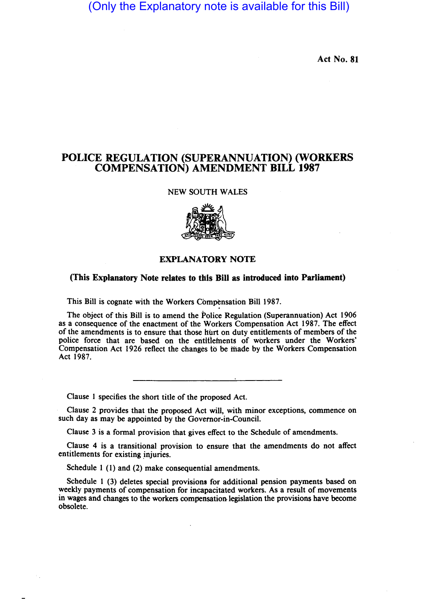# (Only the Explanatory note is available for this Bill)

Act No. 81

## POLICE REGULATION (SUPERANNUATION) (WORKERS COMPENSATION) AMENDMENT BILL 1987

#### NEW SOUTH WALES



### EXPLANATORY NOTE

#### (This Explanatory Note relates to this Bill as introduced into Parliament)

This Bill is cognate with the Workers Compensation Bill 1987.

The object of this Bill is to amend the Police Regulation (Superannuation) Act 1906 as a consequence of the enactment of the Workers Compensation Act 1987. The effect of the amendments is to ensure that those hurt on duty entitlements of members of the police force that are based on the entitlements of workers under the Workers' Compensation Act 1926 reflect the changes to be made by the Workers Compensation Act 1987.

Clause 1 specifies the short title of the proposed Act.

Clause 2 provides that the proposed Act will, with minor exceptions, commence on such day as may be appointed by the Governor-in-Council.

Clause 3 is a formal provision that gives effect to the Schedule of amendments.

Clause 4 is a transitional provision to ensure that the amendments do not affect entitlements for existing injuries.

Schedule 1 (1) and (2) make consequential amendments.

Schedule 1 (3) deletes special provisions for additional pension payments based on weekly payments of compensation for incapacitated workers. As a result of movements in wages and changes to the workers compensation legislation the provisions have become obsolete.